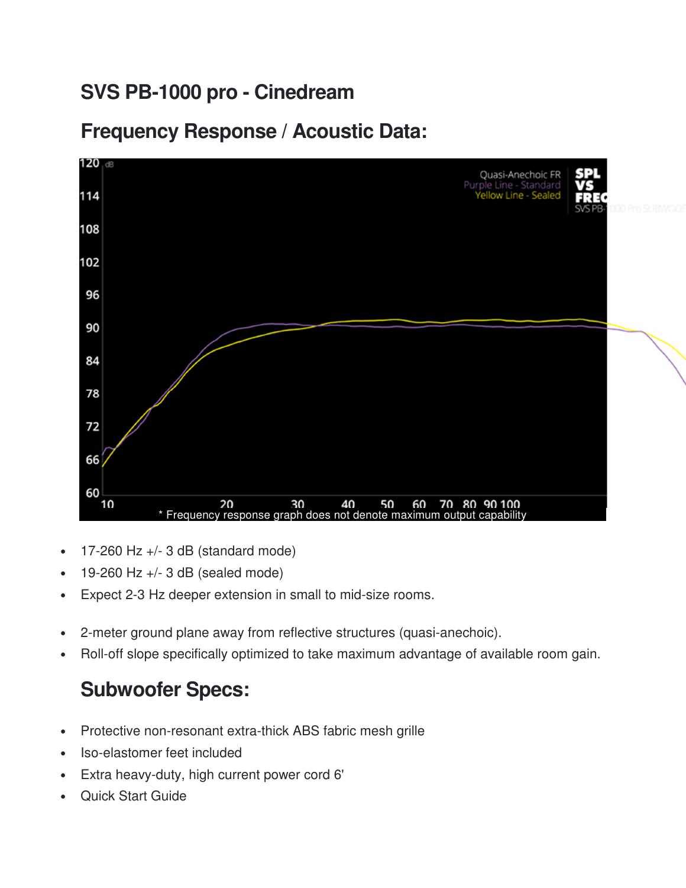#### **SVS PB-1000 pro - Cinedream**

#### **Frequency Response / Acoustic Data:**



- 17-260 Hz  $+/-$  3 dB (standard mode)
- 19-260 Hz +/- 3 dB (sealed mode)
- Expect 2-3 Hz deeper extension in small to mid-size rooms.
- 2-meter ground plane away from reflective structures (quasi-anechoic).
- Roll-off slope specifically optimized to take maximum advantage of available room gain.

#### **Subwoofer Specs:**

- Protective non-resonant extra-thick ABS fabric mesh grille
- Iso-elastomer feet included
- Extra heavy-duty, high current power cord 6'
- Quick Start Guide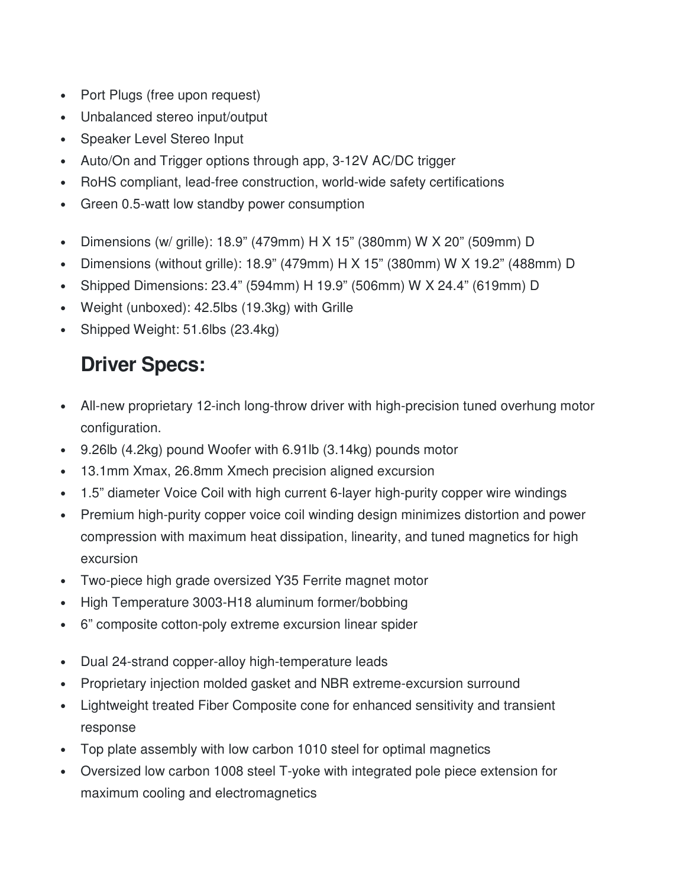- Port Plugs (free upon request)
- Unbalanced stereo input/output
- Speaker Level Stereo Input
- Auto/On and Trigger options through app, 3-12V AC/DC trigger
- RoHS compliant, lead-free construction, world-wide safety certifications
- Green 0.5-watt low standby power consumption
- Dimensions (w/ grille): 18.9" (479mm) H X 15" (380mm) W X 20" (509mm) D
- Dimensions (without grille): 18.9" (479mm) H X 15" (380mm) W X 19.2" (488mm) D
- Shipped Dimensions: 23.4" (594mm) H 19.9" (506mm) W X 24.4" (619mm) D
- Weight (unboxed): 42.5lbs (19.3kg) with Grille
- Shipped Weight: 51.6lbs (23.4kg)

# **Driver Specs:**

- All-new proprietary 12-inch long-throw driver with high-precision tuned overhung motor configuration.
- 9.26lb (4.2kg) pound Woofer with 6.91lb (3.14kg) pounds motor
- 13.1mm Xmax, 26.8mm Xmech precision aligned excursion
- 1.5" diameter Voice Coil with high current 6-layer high-purity copper wire windings
- Premium high-purity copper voice coil winding design minimizes distortion and power compression with maximum heat dissipation, linearity, and tuned magnetics for high excursion
- Two-piece high grade oversized Y35 Ferrite magnet motor
- High Temperature 3003-H18 aluminum former/bobbing
- 6" composite cotton-poly extreme excursion linear spider
- Dual 24-strand copper-alloy high-temperature leads
- Proprietary injection molded gasket and NBR extreme-excursion surround
- Lightweight treated Fiber Composite cone for enhanced sensitivity and transient response
- Top plate assembly with low carbon 1010 steel for optimal magnetics
- Oversized low carbon 1008 steel T-yoke with integrated pole piece extension for maximum cooling and electromagnetics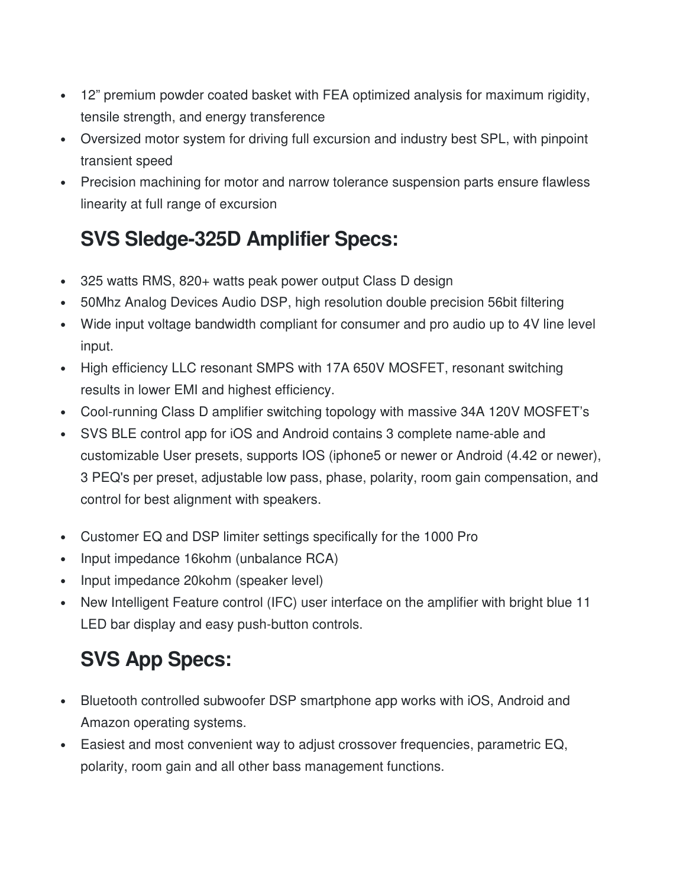- 12" premium powder coated basket with FEA optimized analysis for maximum rigidity, tensile strength, and energy transference
- Oversized motor system for driving full excursion and industry best SPL, with pinpoint transient speed
- Precision machining for motor and narrow tolerance suspension parts ensure flawless linearity at full range of excursion

# **SVS Sledge-325D Amplifier Specs:**

- 325 watts RMS, 820+ watts peak power output Class D design
- 50Mhz Analog Devices Audio DSP, high resolution double precision 56bit filtering
- Wide input voltage bandwidth compliant for consumer and pro audio up to 4V line level input.
- High efficiency LLC resonant SMPS with 17A 650V MOSFET, resonant switching results in lower EMI and highest efficiency.
- Cool-running Class D amplifier switching topology with massive 34A 120V MOSFET's
- SVS BLE control app for iOS and Android contains 3 complete name-able and customizable User presets, supports IOS (iphone5 or newer or Android (4.42 or newer), 3 PEQ's per preset, adjustable low pass, phase, polarity, room gain compensation, and control for best alignment with speakers.
- Customer EQ and DSP limiter settings specifically for the 1000 Pro
- Input impedance 16kohm (unbalance RCA)
- Input impedance 20kohm (speaker level)
- New Intelligent Feature control (IFC) user interface on the amplifier with bright blue 11 LED bar display and easy push-button controls.

# **SVS App Specs:**

- Bluetooth controlled subwoofer DSP smartphone app works with iOS, Android and Amazon operating systems.
- Easiest and most convenient way to adjust crossover frequencies, parametric EQ, polarity, room gain and all other bass management functions.